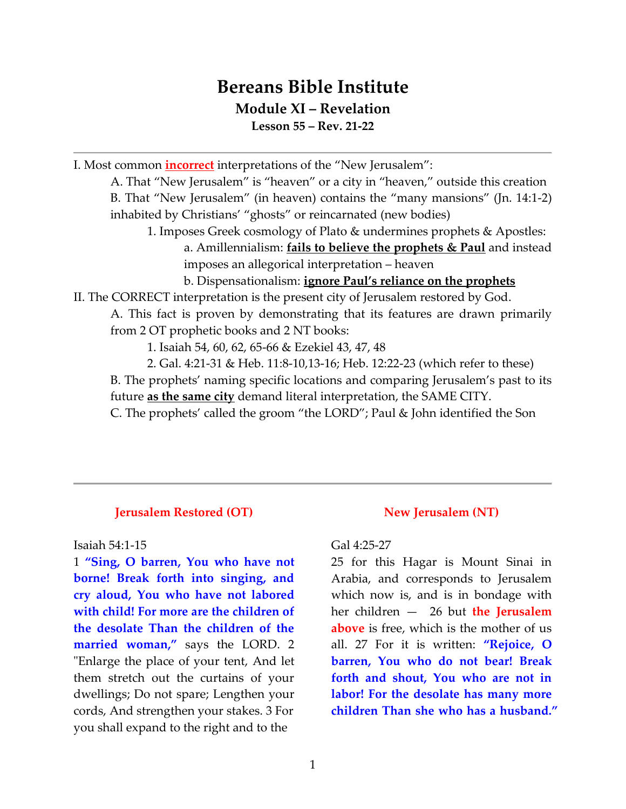# **Bereans Bible Institute Module XI – Revelation Lesson 55 – Rev. 21-22**

I. Most common **incorrect** interpretations of the "New Jerusalem":

A. That "New Jerusalem" is "heaven" or a city in "heaven," outside this creation B. That "New Jerusalem" (in heaven) contains the "many mansions" (Jn. 14:1-2) inhabited by Christians' "ghosts" or reincarnated (new bodies)

1. Imposes Greek cosmology of Plato & undermines prophets & Apostles: a. Amillennialism: **fails to believe the prophets & Paul** and instead imposes an allegorical interpretation – heaven

b. Dispensationalism: **ignore Paul's reliance on the prophets**

II. The CORRECT interpretation is the present city of Jerusalem restored by God.

A. This fact is proven by demonstrating that its features are drawn primarily from 2 OT prophetic books and 2 NT books:

1. Isaiah 54, 60, 62, 65-66 & Ezekiel 43, 47, 48

2. Gal. 4:21-31 & Heb. 11:8-10,13-16; Heb. 12:22-23 (which refer to these) B. The prophets' naming specific locations and comparing Jerusalem's past to its future **as the same city** demand literal interpretation, the SAME CITY. C. The prophets' called the groom "the LORD"; Paul & John identified the Son

# **Jerusalem Restored (OT)**

### Isaiah 54:1-15

1 **"Sing, O barren, You who have not borne! Break forth into singing, and cry aloud, You who have not labored with child! For more are the children of the desolate Than the children of the married woman,"** says the LORD. 2 "Enlarge the place of your tent, And let them stretch out the curtains of your dwellings; Do not spare; Lengthen your cords, And strengthen your stakes. 3 For you shall expand to the right and to the

## **New Jerusalem (NT)**

#### Gal 4:25-27

25 for this Hagar is Mount Sinai in Arabia, and corresponds to Jerusalem which now is, and is in bondage with her children — 26 but **the Jerusalem above** is free, which is the mother of us all. 27 For it is written: **"Rejoice, O barren, You who do not bear! Break forth and shout, You who are not in labor! For the desolate has many more children Than she who has a husband."**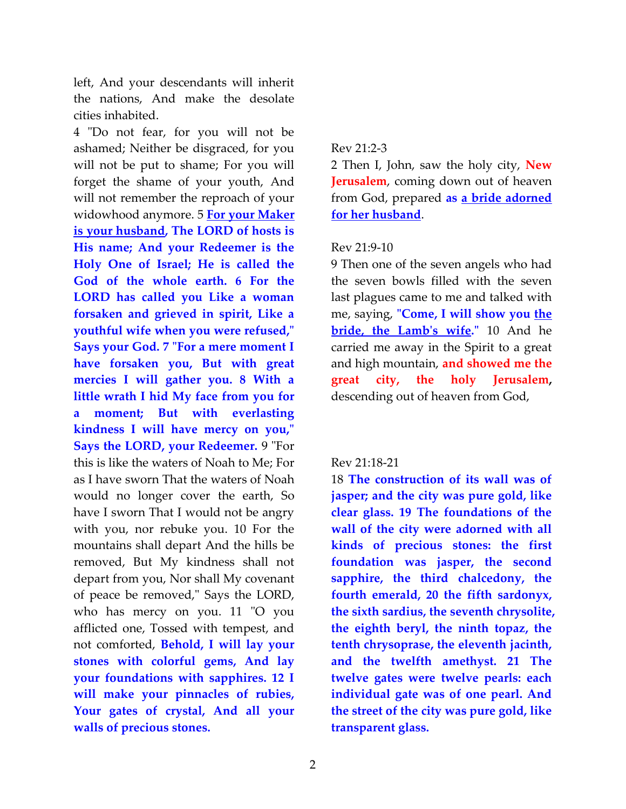left, And your descendants will inherit the nations, And make the desolate cities inhabited.

4 "Do not fear, for you will not be ashamed; Neither be disgraced, for you will not be put to shame; For you will forget the shame of your youth, And will not remember the reproach of your widowhood anymore. 5 **For your Maker is your husband, The LORD of hosts is His name; And your Redeemer is the Holy One of Israel; He is called the God of the whole earth. 6 For the LORD has called you Like a woman forsaken and grieved in spirit, Like a youthful wife when you were refused," Says your God. 7 "For a mere moment I have forsaken you, But with great mercies I will gather you. 8 With a little wrath I hid My face from you for a moment; But with everlasting kindness I will have mercy on you," Says the LORD, your Redeemer.** 9 "For this is like the waters of Noah to Me; For as I have sworn That the waters of Noah would no longer cover the earth, So have I sworn That I would not be angry with you, nor rebuke you. 10 For the mountains shall depart And the hills be removed, But My kindness shall not depart from you, Nor shall My covenant of peace be removed," Says the LORD, who has mercy on you. 11 "O you afflicted one, Tossed with tempest, and not comforted, **Behold, I will lay your stones with colorful gems, And lay your foundations with sapphires. 12 I will make your pinnacles of rubies, Your gates of crystal, And all your walls of precious stones.**

### Rev 21:2-3

2 Then I, John, saw the holy city, **New Jerusalem**, coming down out of heaven from God, prepared **as a bride adorned for her husband**.

### Rev 21:9-10

9 Then one of the seven angels who had the seven bowls filled with the seven last plagues came to me and talked with me, saying, "Come, I will show you the **bride, the Lamb's wife."** 10 And he carried me away in the Spirit to a great and high mountain, **and showed me the great city, the holy Jerusalem,**  descending out of heaven from God,

### Rev 21:18-21

18 **The construction of its wall was of jasper; and the city was pure gold, like clear glass. 19 The foundations of the wall of the city were adorned with all kinds of precious stones: the first foundation was jasper, the second sapphire, the third chalcedony, the fourth emerald, 20 the fifth sardonyx, the sixth sardius, the seventh chrysolite, the eighth beryl, the ninth topaz, the tenth chrysoprase, the eleventh jacinth, and the twelfth amethyst. 21 The twelve gates were twelve pearls: each individual gate was of one pearl. And the street of the city was pure gold, like transparent glass.**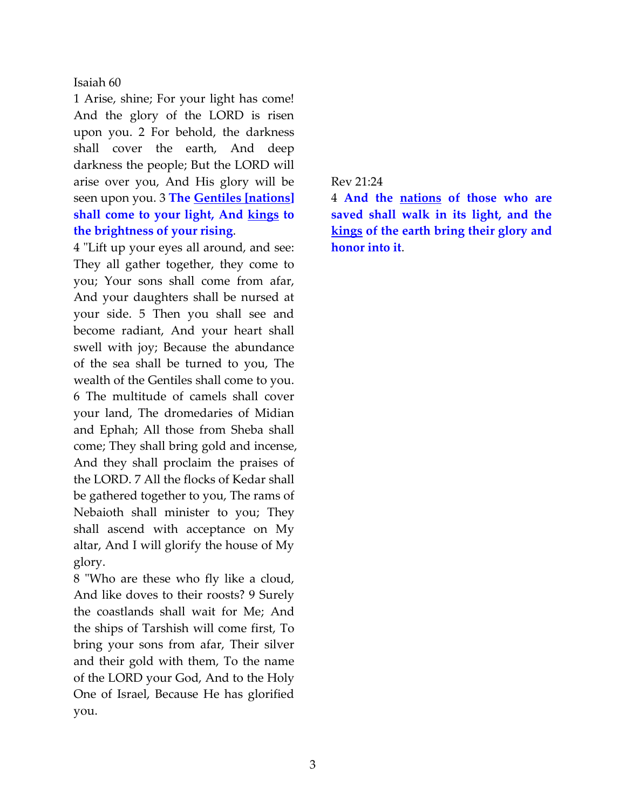Isaiah 60

1 Arise, shine; For your light has come! And the glory of the LORD is risen upon you. 2 For behold, the darkness shall cover the earth, And deep darkness the people; But the LORD will arise over you, And His glory will be seen upon you. 3 **The Gentiles [nations] shall come to your light, And kings to the brightness of your rising**.

4 "Lift up your eyes all around, and see: They all gather together, they come to you; Your sons shall come from afar, And your daughters shall be nursed at your side. 5 Then you shall see and become radiant, And your heart shall swell with joy; Because the abundance of the sea shall be turned to you, The wealth of the Gentiles shall come to you. 6 The multitude of camels shall cover your land, The dromedaries of Midian and Ephah; All those from Sheba shall come; They shall bring gold and incense, And they shall proclaim the praises of the LORD. 7 All the flocks of Kedar shall be gathered together to you, The rams of Nebaioth shall minister to you; They shall ascend with acceptance on My altar, And I will glorify the house of My glory.

8 "Who are these who fly like a cloud, And like doves to their roosts? 9 Surely the coastlands shall wait for Me; And the ships of Tarshish will come first, To bring your sons from afar, Their silver and their gold with them, To the name of the LORD your God, And to the Holy One of Israel, Because He has glorified you.

# Rev 21:24

4 **And the nations of those who are saved shall walk in its light, and the kings of the earth bring their glory and honor into it**.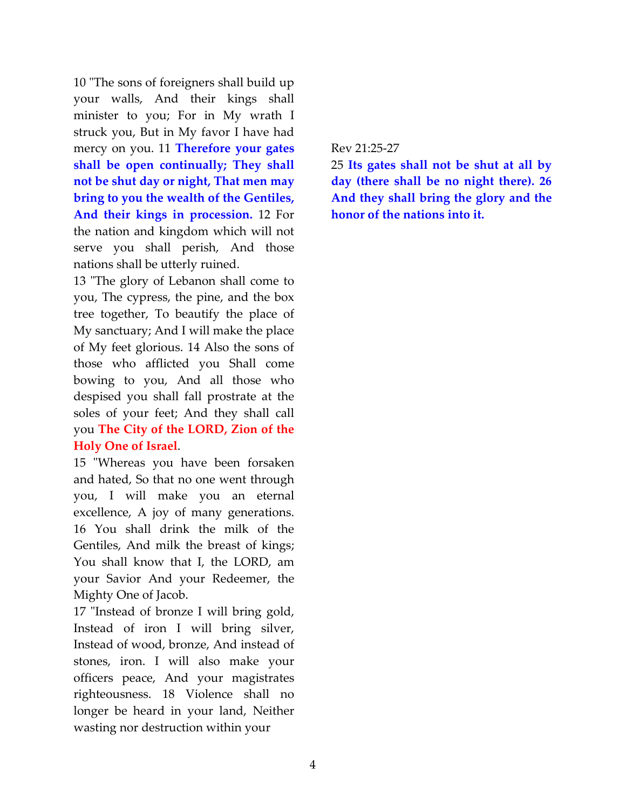10 "The sons of foreigners shall build up your walls, And their kings shall minister to you; For in My wrath I struck you, But in My favor I have had mercy on you. 11 **Therefore your gates shall be open continually; They shall not be shut day or night, That men may bring to you the wealth of the Gentiles, And their kings in procession.** 12 For the nation and kingdom which will not serve you shall perish, And those nations shall be utterly ruined.

13 "The glory of Lebanon shall come to you, The cypress, the pine, and the box tree together, To beautify the place of My sanctuary; And I will make the place of My feet glorious. 14 Also the sons of those who afflicted you Shall come bowing to you, And all those who despised you shall fall prostrate at the soles of your feet; And they shall call you **The City of the LORD, Zion of the Holy One of Israel**.

15 "Whereas you have been forsaken and hated, So that no one went through you, I will make you an eternal excellence, A joy of many generations. 16 You shall drink the milk of the Gentiles, And milk the breast of kings; You shall know that I, the LORD, am your Savior And your Redeemer, the Mighty One of Jacob.

17 "Instead of bronze I will bring gold, Instead of iron I will bring silver, Instead of wood, bronze, And instead of stones, iron. I will also make your officers peace, And your magistrates righteousness. 18 Violence shall no longer be heard in your land, Neither wasting nor destruction within your

# Rev 21:25-27

25 **Its gates shall not be shut at all by day (there shall be no night there). 26 And they shall bring the glory and the honor of the nations into it.**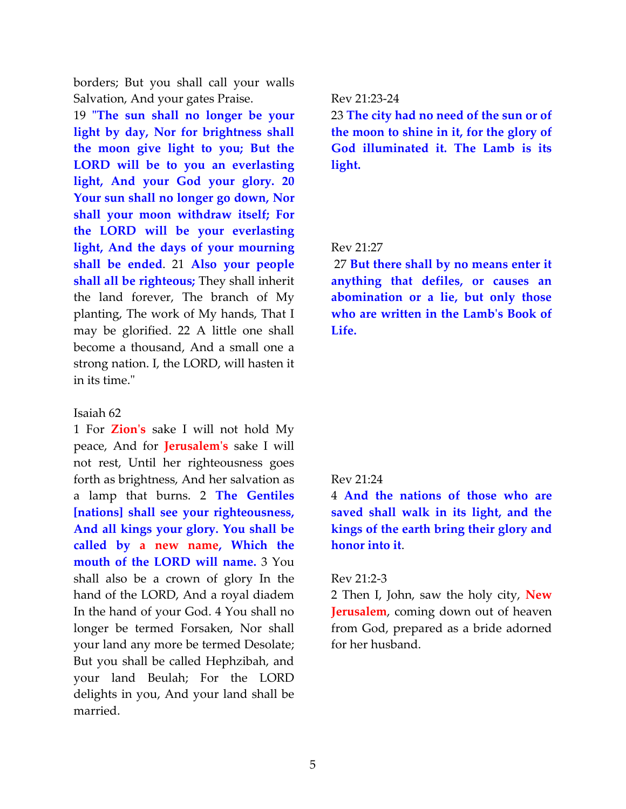borders; But you shall call your walls Salvation, And your gates Praise.

19 **"The sun shall no longer be your light by day, Nor for brightness shall the moon give light to you; But the LORD will be to you an everlasting light, And your God your glory. 20 Your sun shall no longer go down, Nor shall your moon withdraw itself; For the LORD will be your everlasting light, And the days of your mourning shall be ended**. 21 **Also your people shall all be righteous;** They shall inherit the land forever, The branch of My planting, The work of My hands, That I may be glorified. 22 A little one shall become a thousand, And a small one a strong nation. I, the LORD, will hasten it in its time."

#### Isaiah 62

1 For **Zion's** sake I will not hold My peace, And for **Jerusalem's** sake I will not rest, Until her righteousness goes forth as brightness, And her salvation as a lamp that burns. 2 **The Gentiles [nations] shall see your righteousness, And all kings your glory. You shall be called by a new name, Which the mouth of the LORD will name.** 3 You shall also be a crown of glory In the hand of the LORD, And a royal diadem In the hand of your God. 4 You shall no longer be termed Forsaken, Nor shall your land any more be termed Desolate; But you shall be called Hephzibah, and your land Beulah; For the LORD delights in you, And your land shall be married.

## Rev 21:23-24

23 **The city had no need of the sun or of the moon to shine in it, for the glory of God illuminated it. The Lamb is its light.**

## Rev 21:27

27 **But there shall by no means enter it anything that defiles, or causes an abomination or a lie, but only those who are written in the Lamb's Book of Life.**

#### Rev 21:24

4 **And the nations of those who are saved shall walk in its light, and the kings of the earth bring their glory and honor into it**.

### Rev 21:2-3

2 Then I, John, saw the holy city, **New Jerusalem**, coming down out of heaven from God, prepared as a bride adorned for her husband.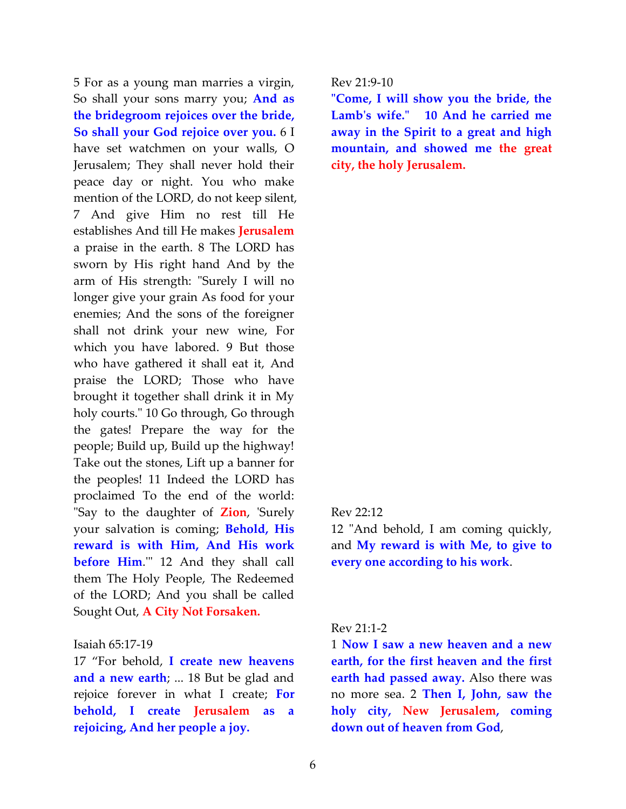5 For as a young man marries a virgin, So shall your sons marry you; **And as the bridegroom rejoices over the bride, So shall your God rejoice over you.** 6 I have set watchmen on your walls, O Jerusalem; They shall never hold their peace day or night. You who make mention of the LORD, do not keep silent, 7 And give Him no rest till He establishes And till He makes **Jerusalem** a praise in the earth. 8 The LORD has sworn by His right hand And by the arm of His strength: "Surely I will no longer give your grain As food for your enemies; And the sons of the foreigner shall not drink your new wine, For which you have labored. 9 But those who have gathered it shall eat it, And praise the LORD; Those who have brought it together shall drink it in My holy courts." 10 Go through, Go through the gates! Prepare the way for the people; Build up, Build up the highway! Take out the stones, Lift up a banner for the peoples! 11 Indeed the LORD has proclaimed To the end of the world: "Say to the daughter of **Zion**, 'Surely your salvation is coming; **Behold, His reward is with Him, And His work before Him**.'" 12 And they shall call them The Holy People, The Redeemed of the LORD; And you shall be called Sought Out, **A City Not Forsaken.**

#### Isaiah 65:17-19

17 "For behold, **I create new heavens and a new earth**; ... 18 But be glad and rejoice forever in what I create; **For behold, I create Jerusalem as a rejoicing, And her people a joy.** 

#### Rev 21:9-10

**"Come, I will show you the bride, the Lamb's wife." 10 And he carried me away in the Spirit to a great and high mountain, and showed me the great city, the holy Jerusalem.**

#### Rev 22:12

12 "And behold, I am coming quickly, and **My reward is with Me, to give to every one according to his work**.

#### Rev 21:1-2

1 **Now I saw a new heaven and a new earth, for the first heaven and the first earth had passed away.** Also there was no more sea. 2 **Then I, John, saw the holy city, New Jerusalem, coming down out of heaven from God**,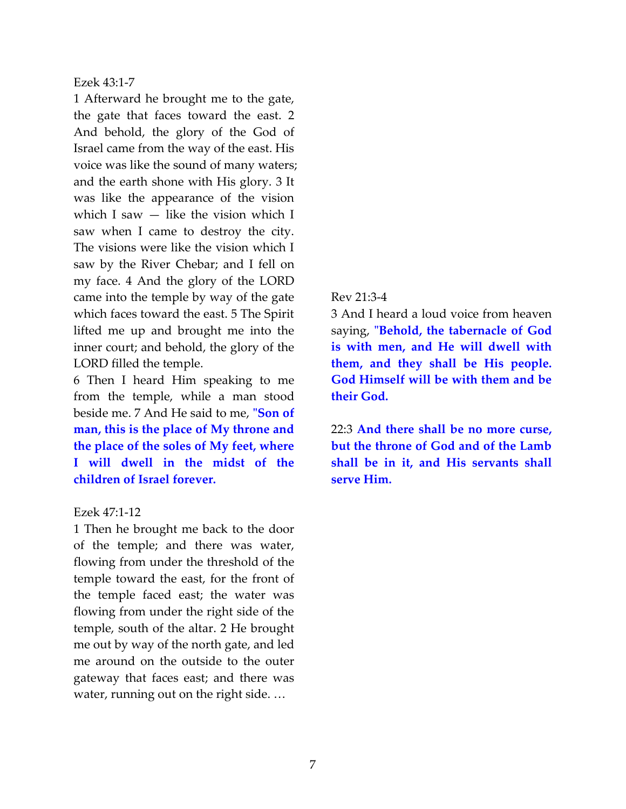Ezek 43:1-7

1 Afterward he brought me to the gate, the gate that faces toward the east. 2 And behold, the glory of the God of Israel came from the way of the east. His voice was like the sound of many waters; and the earth shone with His glory. 3 It was like the appearance of the vision which I saw — like the vision which I saw when I came to destroy the city. The visions were like the vision which I saw by the River Chebar; and I fell on my face. 4 And the glory of the LORD came into the temple by way of the gate which faces toward the east. 5 The Spirit lifted me up and brought me into the inner court; and behold, the glory of the LORD filled the temple.

6 Then I heard Him speaking to me from the temple, while a man stood beside me. 7 And He said to me, **"Son of man, this is the place of My throne and the place of the soles of My feet, where I will dwell in the midst of the children of Israel forever.**

# Ezek 47:1-12

1 Then he brought me back to the door of the temple; and there was water, flowing from under the threshold of the temple toward the east, for the front of the temple faced east; the water was flowing from under the right side of the temple, south of the altar. 2 He brought me out by way of the north gate, and led me around on the outside to the outer gateway that faces east; and there was water, running out on the right side. …

# Rev 21:3-4

3 And I heard a loud voice from heaven saying, **"Behold, the tabernacle of God is with men, and He will dwell with them, and they shall be His people. God Himself will be with them and be their God.** 

22:3 **And there shall be no more curse, but the throne of God and of the Lamb shall be in it, and His servants shall serve Him.**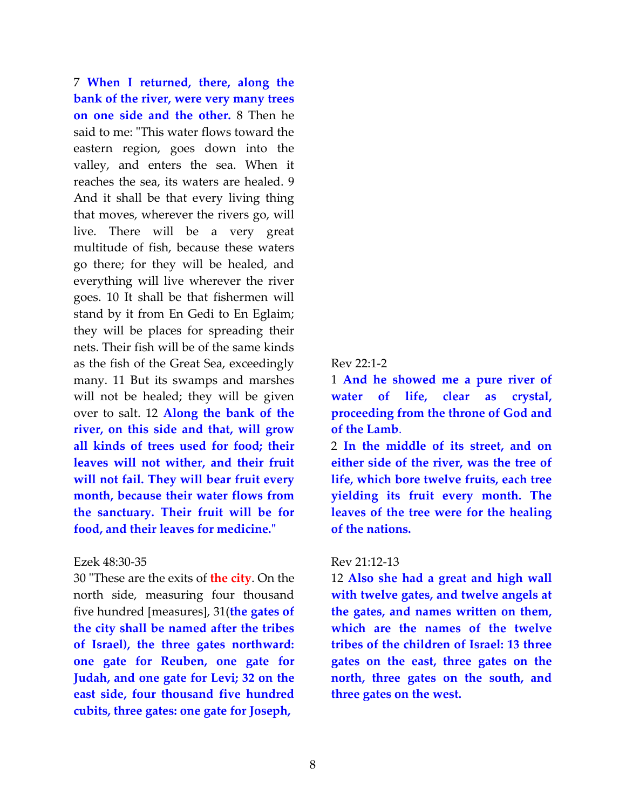7 **When I returned, there, along the bank of the river, were very many trees on one side and the other.** 8 Then he said to me: "This water flows toward the eastern region, goes down into the valley, and enters the sea. When it reaches the sea, its waters are healed. 9 And it shall be that every living thing that moves, wherever the rivers go, will live. There will be a very great multitude of fish, because these waters go there; for they will be healed, and everything will live wherever the river goes. 10 It shall be that fishermen will stand by it from En Gedi to En Eglaim; they will be places for spreading their nets. Their fish will be of the same kinds as the fish of the Great Sea, exceedingly many. 11 But its swamps and marshes will not be healed; they will be given over to salt. 12 **Along the bank of the river, on this side and that, will grow all kinds of trees used for food; their leaves will not wither, and their fruit will not fail. They will bear fruit every month, because their water flows from the sanctuary. Their fruit will be for food, and their leaves for medicine."**

#### Ezek 48:30-35

30 "These are the exits of **the city**. On the north side, measuring four thousand five hundred [measures], 31(**the gates of the city shall be named after the tribes of Israel), the three gates northward: one gate for Reuben, one gate for Judah, and one gate for Levi; 32 on the east side, four thousand five hundred cubits, three gates: one gate for Joseph,** 

#### Rev 22:1-2

1 **And he showed me a pure river of water of life, clear as crystal, proceeding from the throne of God and of the Lamb**.

2 **In the middle of its street, and on either side of the river, was the tree of life, which bore twelve fruits, each tree yielding its fruit every month. The leaves of the tree were for the healing of the nations.**

#### Rev 21:12-13

12 **Also she had a great and high wall with twelve gates, and twelve angels at the gates, and names written on them, which are the names of the twelve tribes of the children of Israel: 13 three gates on the east, three gates on the north, three gates on the south, and three gates on the west.**